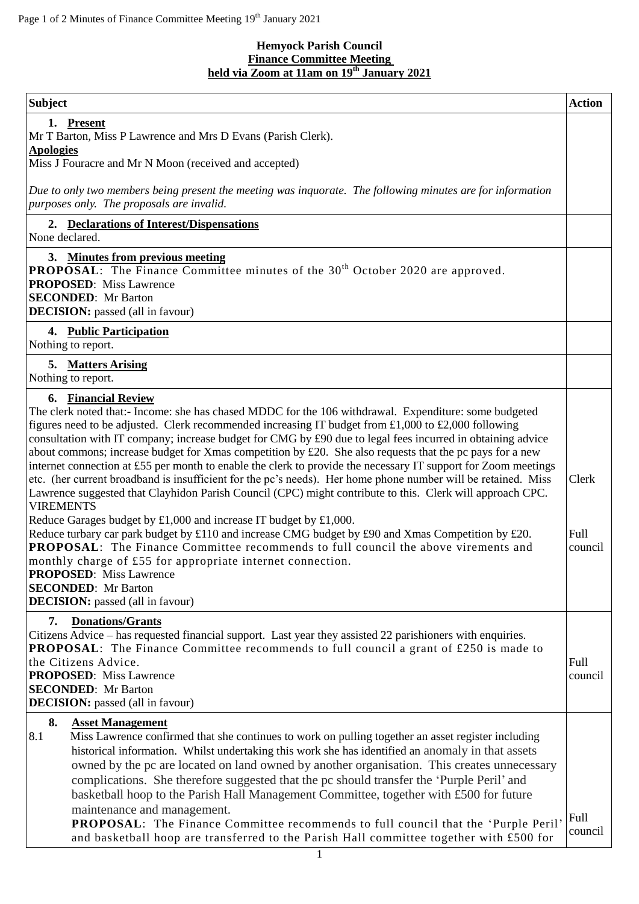## **Hemyock Parish Council Finance Committee Meeting held via Zoom at 11am on 19th January 2021**

| <b>Subject</b>                                                                                                                                                                                                                                                                                                                                                                                                                                                                                                                                                                                                                                                                                                                                                                                                                                                                                                                                                                                                                                                                                                                                                                                                                                                                                                         | <b>Action</b>            |
|------------------------------------------------------------------------------------------------------------------------------------------------------------------------------------------------------------------------------------------------------------------------------------------------------------------------------------------------------------------------------------------------------------------------------------------------------------------------------------------------------------------------------------------------------------------------------------------------------------------------------------------------------------------------------------------------------------------------------------------------------------------------------------------------------------------------------------------------------------------------------------------------------------------------------------------------------------------------------------------------------------------------------------------------------------------------------------------------------------------------------------------------------------------------------------------------------------------------------------------------------------------------------------------------------------------------|--------------------------|
| 1. Present<br>Mr T Barton, Miss P Lawrence and Mrs D Evans (Parish Clerk).                                                                                                                                                                                                                                                                                                                                                                                                                                                                                                                                                                                                                                                                                                                                                                                                                                                                                                                                                                                                                                                                                                                                                                                                                                             |                          |
| <b>Apologies</b><br>Miss J Fouracre and Mr N Moon (received and accepted)                                                                                                                                                                                                                                                                                                                                                                                                                                                                                                                                                                                                                                                                                                                                                                                                                                                                                                                                                                                                                                                                                                                                                                                                                                              |                          |
| Due to only two members being present the meeting was inquorate. The following minutes are for information<br>purposes only. The proposals are invalid.                                                                                                                                                                                                                                                                                                                                                                                                                                                                                                                                                                                                                                                                                                                                                                                                                                                                                                                                                                                                                                                                                                                                                                |                          |
| 2. Declarations of Interest/Dispensations<br>None declared.                                                                                                                                                                                                                                                                                                                                                                                                                                                                                                                                                                                                                                                                                                                                                                                                                                                                                                                                                                                                                                                                                                                                                                                                                                                            |                          |
| 3. Minutes from previous meeting<br><b>PROPOSAL:</b> The Finance Committee minutes of the 30 <sup>th</sup> October 2020 are approved.<br><b>PROPOSED:</b> Miss Lawrence<br><b>SECONDED:</b> Mr Barton<br><b>DECISION:</b> passed (all in favour)                                                                                                                                                                                                                                                                                                                                                                                                                                                                                                                                                                                                                                                                                                                                                                                                                                                                                                                                                                                                                                                                       |                          |
| 4. Public Participation<br>Nothing to report.                                                                                                                                                                                                                                                                                                                                                                                                                                                                                                                                                                                                                                                                                                                                                                                                                                                                                                                                                                                                                                                                                                                                                                                                                                                                          |                          |
| 5. Matters Arising<br>Nothing to report.                                                                                                                                                                                                                                                                                                                                                                                                                                                                                                                                                                                                                                                                                                                                                                                                                                                                                                                                                                                                                                                                                                                                                                                                                                                                               |                          |
| 6. Financial Review<br>The clerk noted that:- Income: she has chased MDDC for the 106 withdrawal. Expenditure: some budgeted<br>figures need to be adjusted. Clerk recommended increasing IT budget from £1,000 to £2,000 following<br>consultation with IT company; increase budget for CMG by £90 due to legal fees incurred in obtaining advice<br>about commons; increase budget for Xmas competition by £20. She also requests that the pc pays for a new<br>internet connection at £55 per month to enable the clerk to provide the necessary IT support for Zoom meetings<br>etc. (her current broadband is insufficient for the pc's needs). Her home phone number will be retained. Miss<br>Lawrence suggested that Clayhidon Parish Council (CPC) might contribute to this. Clerk will approach CPC.<br><b>VIREMENTS</b><br>Reduce Garages budget by $£1,000$ and increase IT budget by £1,000.<br>Reduce turbary car park budget by £110 and increase CMG budget by £90 and Xmas Competition by £20.<br><b>PROPOSAL:</b> The Finance Committee recommends to full council the above virements and<br>monthly charge of £55 for appropriate internet connection.<br><b>PROPOSED:</b> Miss Lawrence<br><b>SECONDED:</b> Mr Barton<br><b>DECISION:</b> passed (all in favour)<br><b>Donations/Grants</b><br>7. | Clerk<br>Full<br>council |
| Citizens Advice – has requested financial support. Last year they assisted 22 parishioners with enquiries.<br><b>PROPOSAL:</b> The Finance Committee recommends to full council a grant of £250 is made to<br>the Citizens Advice.<br><b>PROPOSED:</b> Miss Lawrence<br><b>SECONDED:</b> Mr Barton<br><b>DECISION:</b> passed (all in favour)                                                                                                                                                                                                                                                                                                                                                                                                                                                                                                                                                                                                                                                                                                                                                                                                                                                                                                                                                                          | Full<br>council          |
| 8.<br><b>Asset Management</b><br>8.1<br>Miss Lawrence confirmed that she continues to work on pulling together an asset register including<br>historical information. Whilst undertaking this work she has identified an anomaly in that assets<br>owned by the pc are located on land owned by another organisation. This creates unnecessary<br>complications. She therefore suggested that the pc should transfer the 'Purple Peril' and<br>basketball hoop to the Parish Hall Management Committee, together with £500 for future<br>maintenance and management.<br><b>PROPOSAL:</b> The Finance Committee recommends to full council that the 'Purple Peril'<br>and basketball hoop are transferred to the Parish Hall committee together with £500 for                                                                                                                                                                                                                                                                                                                                                                                                                                                                                                                                                           | Full<br>council          |